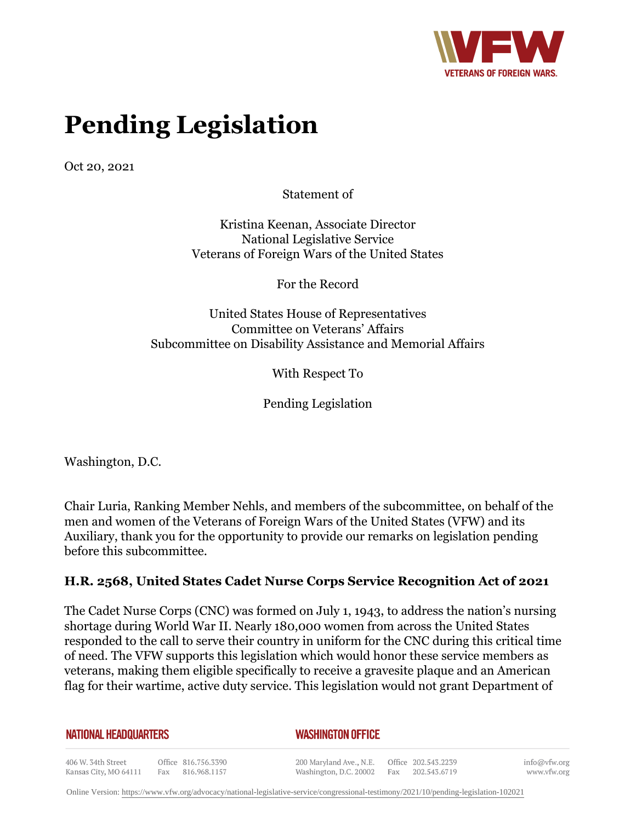

# **Pending Legislation**

Oct 20, 2021

Statement of

Kristina Keenan, Associate Director National Legislative Service Veterans of Foreign Wars of the United States

For the Record

United States House of Representatives Committee on Veterans' Affairs Subcommittee on Disability Assistance and Memorial Affairs

With Respect To

Pending Legislation

Washington, D.C.

Chair Luria, Ranking Member Nehls, and members of the subcommittee, on behalf of the men and women of the Veterans of Foreign Wars of the United States (VFW) and its Auxiliary, thank you for the opportunity to provide our remarks on legislation pending before this subcommittee.

## **H.R. 2568, United States Cadet Nurse Corps Service Recognition Act of 2021**

The Cadet Nurse Corps (CNC) was formed on July 1, 1943, to address the nation's nursing shortage during World War II. Nearly 180,000 women from across the United States responded to the call to serve their country in uniform for the CNC during this critical time of need. The VFW supports this legislation which would honor these service members as veterans, making them eligible specifically to receive a gravesite plaque and an American flag for their wartime, active duty service. This legislation would not grant Department of

**NATIONAL HEADQUARTERS** 

*WASHINGTON OFFICE* 

406 W. 34th Street Office 816.756.3390 Fax 816.968.1157 Kansas City, MO 64111

200 Maryland Ave., N.E. Washington, D.C. 20002

Office 202.543.2239 Fax 202.543.6719 info@vfw.org www.vfw.org

Online Version:<https://www.vfw.org/advocacy/national-legislative-service/congressional-testimony/2021/10/pending-legislation-102021>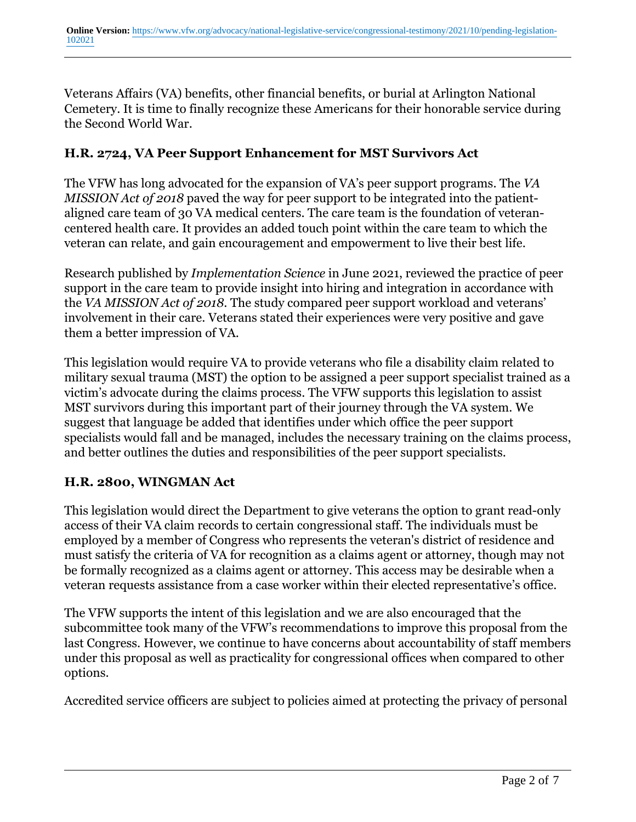Veterans Affairs (VA) benefits, other financial benefits, or burial at Arlington National Cemetery. It is time to finally recognize these Americans for their honorable service during the Second World War.

# **H.R. 2724, VA Peer Support Enhancement for MST Survivors Act**

The VFW has long advocated for the expansion of VA's peer support programs. The *VA MISSION Act of 2018* paved the way for peer support to be integrated into the patientaligned care team of 30 VA medical centers. The care team is the foundation of veterancentered health care. It provides an added touch point within the care team to which the veteran can relate, and gain encouragement and empowerment to live their best life.

Research published by *Implementation Science* in June 2021, reviewed the practice of peer support in the care team to provide insight into hiring and integration in accordance with the *VA MISSION Act of 2018*. The study compared peer support workload and veterans' involvement in their care. Veterans stated their experiences were very positive and gave them a better impression of VA.

This legislation would require VA to provide veterans who file a disability claim related to military sexual trauma (MST) the option to be assigned a peer support specialist trained as a victim's advocate during the claims process. The VFW supports this legislation to assist MST survivors during this important part of their journey through the VA system. We suggest that language be added that identifies under which office the peer support specialists would fall and be managed, includes the necessary training on the claims process, and better outlines the duties and responsibilities of the peer support specialists.

## **H.R. 2800, WINGMAN Act**

This legislation would direct the Department to give veterans the option to grant read-only access of their VA claim records to certain congressional staff. The individuals must be employed by a member of Congress who represents the veteran's district of residence and must satisfy the criteria of VA for recognition as a claims agent or attorney, though may not be formally recognized as a claims agent or attorney. This access may be desirable when a veteran requests assistance from a case worker within their elected representative's office.

The VFW supports the intent of this legislation and we are also encouraged that the subcommittee took many of the VFW's recommendations to improve this proposal from the last Congress. However, we continue to have concerns about accountability of staff members under this proposal as well as practicality for congressional offices when compared to other options.

Accredited service officers are subject to policies aimed at protecting the privacy of personal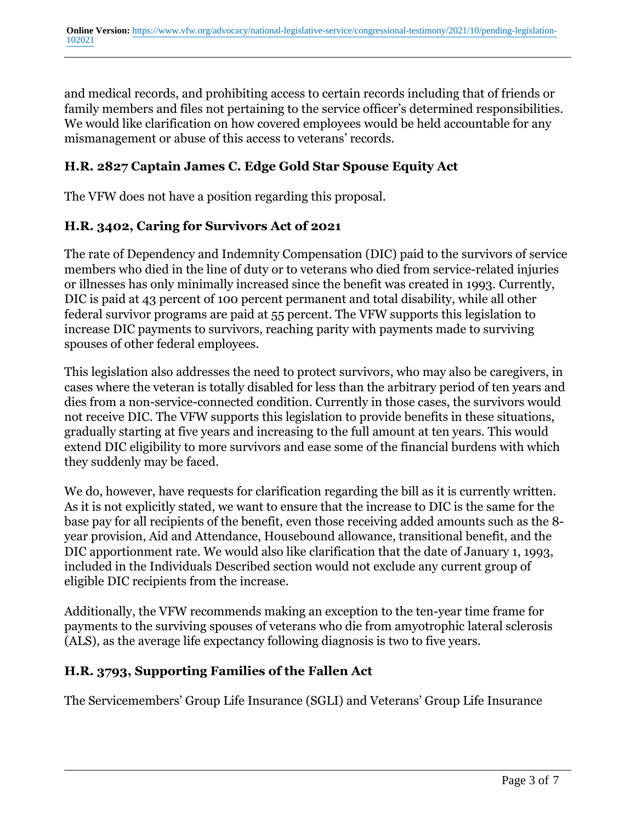and medical records, and prohibiting access to certain records including that of friends or family members and files not pertaining to the service officer's determined responsibilities. We would like clarification on how covered employees would be held accountable for any mismanagement or abuse of this access to veterans' records.

# **H.R. 2827 Captain James C. Edge Gold Star Spouse Equity Act**

The VFW does not have a position regarding this proposal.

#### **H.R. 3402, Caring for Survivors Act of 2021**

The rate of Dependency and Indemnity Compensation (DIC) paid to the survivors of service members who died in the line of duty or to veterans who died from service-related injuries or illnesses has only minimally increased since the benefit was created in 1993. Currently, DIC is paid at 43 percent of 100 percent permanent and total disability, while all other federal survivor programs are paid at 55 percent. The VFW supports this legislation to increase DIC payments to survivors, reaching parity with payments made to surviving spouses of other federal employees.

This legislation also addresses the need to protect survivors, who may also be caregivers, in cases where the veteran is totally disabled for less than the arbitrary period of ten years and dies from a non-service-connected condition. Currently in those cases, the survivors would not receive DIC. The VFW supports this legislation to provide benefits in these situations, gradually starting at five years and increasing to the full amount at ten years. This would extend DIC eligibility to more survivors and ease some of the financial burdens with which they suddenly may be faced.

We do, however, have requests for clarification regarding the bill as it is currently written. As it is not explicitly stated, we want to ensure that the increase to DIC is the same for the base pay for all recipients of the benefit, even those receiving added amounts such as the 8 year provision, Aid and Attendance, Housebound allowance, transitional benefit, and the DIC apportionment rate. We would also like clarification that the date of January 1, 1993, included in the Individuals Described section would not exclude any current group of eligible DIC recipients from the increase.

Additionally, the VFW recommends making an exception to the ten-year time frame for payments to the surviving spouses of veterans who die from amyotrophic lateral sclerosis (ALS), as the average life expectancy following diagnosis is two to five years.

## **H.R. 3793, Supporting Families of the Fallen Act**

The Servicemembers' Group Life Insurance (SGLI) and Veterans' Group Life Insurance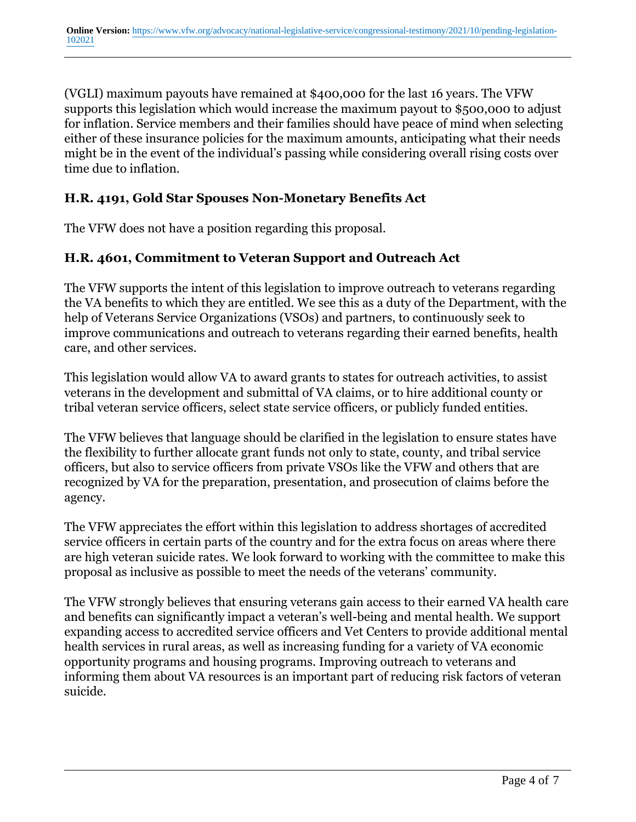(VGLI) maximum payouts have remained at \$400,000 for the last 16 years. The VFW supports this legislation which would increase the maximum payout to \$500,000 to adjust for inflation. Service members and their families should have peace of mind when selecting either of these insurance policies for the maximum amounts, anticipating what their needs might be in the event of the individual's passing while considering overall rising costs over time due to inflation.

# **H.R. 4191, Gold Star Spouses Non-Monetary Benefits Act**

The VFW does not have a position regarding this proposal.

## **H.R. 4601, Commitment to Veteran Support and Outreach Act**

The VFW supports the intent of this legislation to improve outreach to veterans regarding the VA benefits to which they are entitled. We see this as a duty of the Department, with the help of Veterans Service Organizations (VSOs) and partners, to continuously seek to improve communications and outreach to veterans regarding their earned benefits, health care, and other services.

This legislation would allow VA to award grants to states for outreach activities, to assist veterans in the development and submittal of VA claims, or to hire additional county or tribal veteran service officers, select state service officers, or publicly funded entities.

The VFW believes that language should be clarified in the legislation to ensure states have the flexibility to further allocate grant funds not only to state, county, and tribal service officers, but also to service officers from private VSOs like the VFW and others that are recognized by VA for the preparation, presentation, and prosecution of claims before the agency.

The VFW appreciates the effort within this legislation to address shortages of accredited service officers in certain parts of the country and for the extra focus on areas where there are high veteran suicide rates. We look forward to working with the committee to make this proposal as inclusive as possible to meet the needs of the veterans' community.

The VFW strongly believes that ensuring veterans gain access to their earned VA health care and benefits can significantly impact a veteran's well-being and mental health. We support expanding access to accredited service officers and Vet Centers to provide additional mental health services in rural areas, as well as increasing funding for a variety of VA economic opportunity programs and housing programs. Improving outreach to veterans and informing them about VA resources is an important part of reducing risk factors of veteran suicide.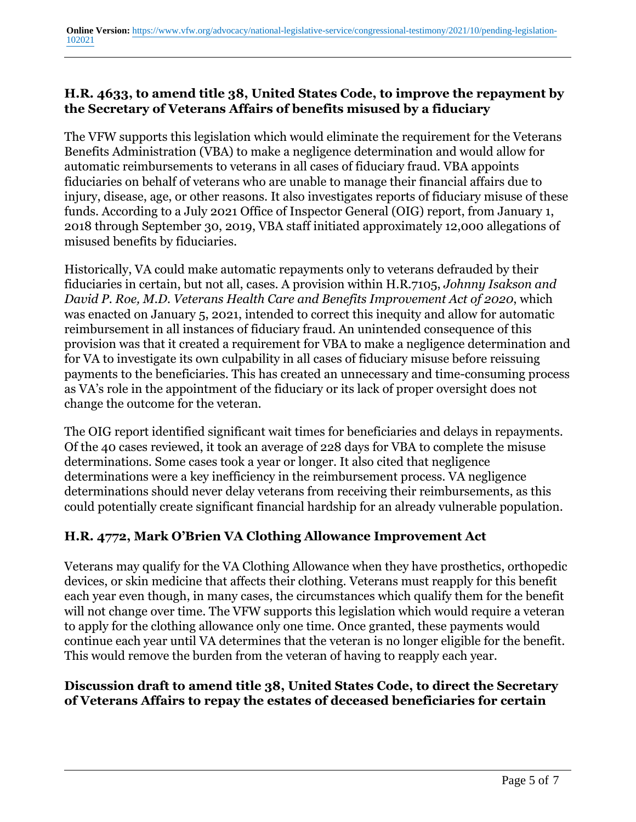#### **H.R. 4633, to amend title 38, United States Code, to improve the repayment by the Secretary of Veterans Affairs of benefits misused by a fiduciary**

The VFW supports this legislation which would eliminate the requirement for the Veterans Benefits Administration (VBA) to make a negligence determination and would allow for automatic reimbursements to veterans in all cases of fiduciary fraud. VBA appoints fiduciaries on behalf of veterans who are unable to manage their financial affairs due to injury, disease, age, or other reasons. It also investigates reports of fiduciary misuse of these funds. According to a July 2021 Office of Inspector General (OIG) report, from January 1, 2018 through September 30, 2019, VBA staff initiated approximately 12,000 allegations of misused benefits by fiduciaries.

Historically, VA could make automatic repayments only to veterans defrauded by their fiduciaries in certain, but not all, cases. A provision within H.R.7105, *Johnny Isakson and David P. Roe, M.D. Veterans Health Care and Benefits Improvement Act of 2020*, which was enacted on January 5, 2021, intended to correct this inequity and allow for automatic reimbursement in all instances of fiduciary fraud. An unintended consequence of this provision was that it created a requirement for VBA to make a negligence determination and for VA to investigate its own culpability in all cases of fiduciary misuse before reissuing payments to the beneficiaries. This has created an unnecessary and time-consuming process as VA's role in the appointment of the fiduciary or its lack of proper oversight does not change the outcome for the veteran.

The OIG report identified significant wait times for beneficiaries and delays in repayments. Of the 40 cases reviewed, it took an average of 228 days for VBA to complete the misuse determinations. Some cases took a year or longer. It also cited that negligence determinations were a key inefficiency in the reimbursement process. VA negligence determinations should never delay veterans from receiving their reimbursements, as this could potentially create significant financial hardship for an already vulnerable population.

## **H.R. 4772, Mark O'Brien VA Clothing Allowance Improvement Act**

Veterans may qualify for the VA Clothing Allowance when they have prosthetics, orthopedic devices, or skin medicine that affects their clothing. Veterans must reapply for this benefit each year even though, in many cases, the circumstances which qualify them for the benefit will not change over time. The VFW supports this legislation which would require a veteran to apply for the clothing allowance only one time. Once granted, these payments would continue each year until VA determines that the veteran is no longer eligible for the benefit. This would remove the burden from the veteran of having to reapply each year.

## **Discussion draft to amend title 38, United States Code, to direct the Secretary of Veterans Affairs to repay the estates of deceased beneficiaries for certain**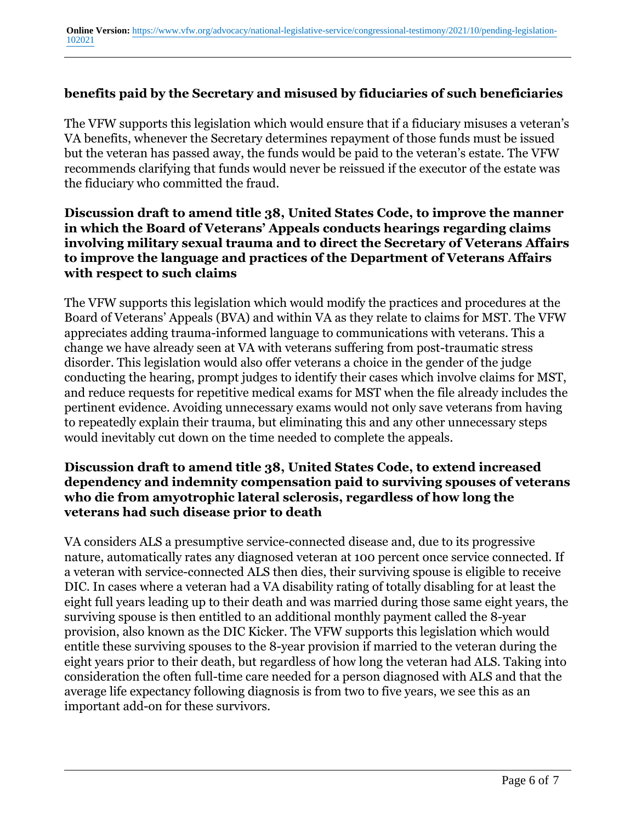#### **benefits paid by the Secretary and misused by fiduciaries of such beneficiaries**

The VFW supports this legislation which would ensure that if a fiduciary misuses a veteran's VA benefits, whenever the Secretary determines repayment of those funds must be issued but the veteran has passed away, the funds would be paid to the veteran's estate. The VFW recommends clarifying that funds would never be reissued if the executor of the estate was the fiduciary who committed the fraud.

#### **Discussion draft to amend title 38, United States Code, to improve the manner in which the Board of Veterans' Appeals conducts hearings regarding claims involving military sexual trauma and to direct the Secretary of Veterans Affairs to improve the language and practices of the Department of Veterans Affairs with respect to such claims**

The VFW supports this legislation which would modify the practices and procedures at the Board of Veterans' Appeals (BVA) and within VA as they relate to claims for MST. The VFW appreciates adding trauma-informed language to communications with veterans. This a change we have already seen at VA with veterans suffering from post-traumatic stress disorder. This legislation would also offer veterans a choice in the gender of the judge conducting the hearing, prompt judges to identify their cases which involve claims for MST, and reduce requests for repetitive medical exams for MST when the file already includes the pertinent evidence. Avoiding unnecessary exams would not only save veterans from having to repeatedly explain their trauma, but eliminating this and any other unnecessary steps would inevitably cut down on the time needed to complete the appeals.

#### **Discussion draft to amend title 38, United States Code, to extend increased dependency and indemnity compensation paid to surviving spouses of veterans who die from amyotrophic lateral sclerosis, regardless of how long the veterans had such disease prior to death**

VA considers ALS a presumptive service-connected disease and, due to its progressive nature, automatically rates any diagnosed veteran at 100 percent once service connected. If a veteran with service-connected ALS then dies, their surviving spouse is eligible to receive DIC. In cases where a veteran had a VA disability rating of totally disabling for at least the eight full years leading up to their death and was married during those same eight years, the surviving spouse is then entitled to an additional monthly payment called the 8-year provision, also known as the DIC Kicker. The VFW supports this legislation which would entitle these surviving spouses to the 8-year provision if married to the veteran during the eight years prior to their death, but regardless of how long the veteran had ALS. Taking into consideration the often full-time care needed for a person diagnosed with ALS and that the average life expectancy following diagnosis is from two to five years, we see this as an important add-on for these survivors.